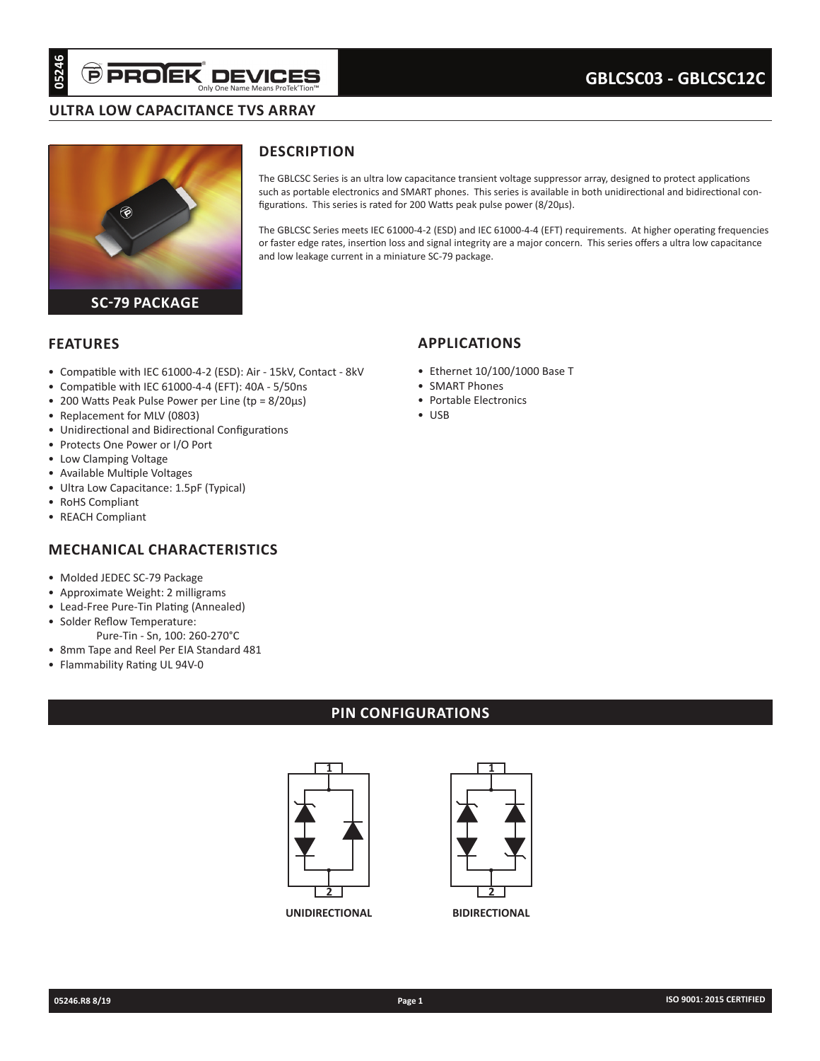## **ULTRA LOW CAPACITANCE TVS ARRAY**



# **DESCRIPTION**

The GBLCSC Series is an ultra low capacitance transient voltage suppressor array, designed to protect applications such as portable electronics and SMART phones. This series is available in both unidirectional and bidirectional configurations. This series is rated for 200 Watts peak pulse power (8/20µs).

The GBLCSC Series meets IEC 61000-4-2 (ESD) and IEC 61000-4-4 (EFT) requirements. At higher operating frequencies or faster edge rates, insertion loss and signal integrity are a major concern. This series offers a ultra low capacitance and low leakage current in a miniature SC-79 package.

### **FEATURES**

- Compatible with IEC 61000-4-2 (ESD): Air 15kV, Contact 8kV
- Compatible with IEC 61000-4-4 (EFT): 40A 5/50ns
- 200 Watts Peak Pulse Power per Line (tp = 8/20µs)
- Replacement for MLV (0803)
- Unidirectional and Bidirectional Configurations
- Protects One Power or I/O Port
- Low Clamping Voltage
- Available Multiple Voltages
- Ultra Low Capacitance: 1.5pF (Typical)
- RoHS Compliant
- REACH Compliant

## **MECHANICAL CHARACTERISTICS**

- Molded JEDEC SC-79 Package
- Approximate Weight: 2 milligrams
- Lead-Free Pure-Tin Plating (Annealed)
- Solder Reflow Temperature:
- Pure-Tin Sn, 100: 260-270°C • 8mm Tape and Reel Per EIA Standard 481
- Flammability Rating UL 94V-0

## **PIN CONFIGURATIONS**



**UNIDIRECTIONAL BIDIRECTIONAL**



# **APPLICATIONS**

- Ethernet 10/100/1000 Base T
- SMART Phones
- Portable Electronics
- USB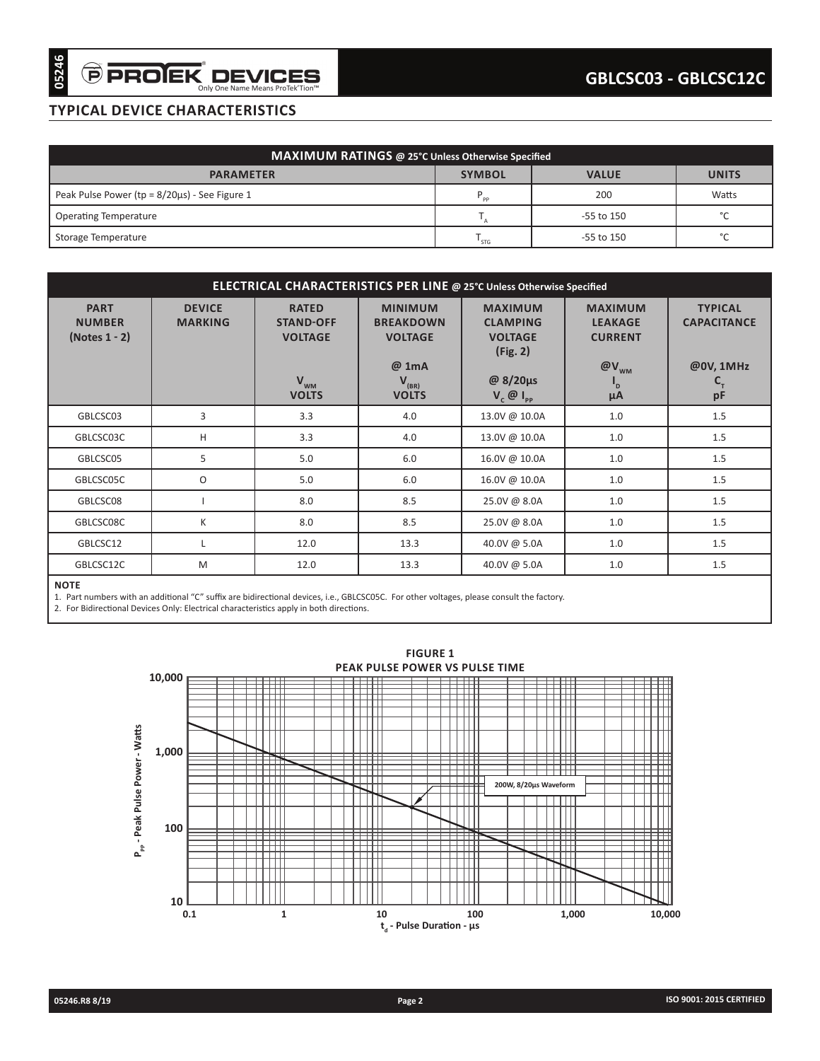# **TYPICAL DEVICE CHARACTERISTICS**

| <b>MAXIMUM RATINGS @ 25°C Unless Otherwise Specified</b> |                |                |        |  |  |  |
|----------------------------------------------------------|----------------|----------------|--------|--|--|--|
| <b>PARAMETER</b>                                         | <b>VALUE</b>   | <b>UNITS</b>   |        |  |  |  |
| Peak Pulse Power ( $tp = 8/20\mu s$ ) - See Figure 1     | P<br><b>DD</b> | 200            | Watts  |  |  |  |
| <b>Operating Temperature</b>                             |                | $-55$ to $150$ | $\sim$ |  |  |  |
| Storage Temperature                                      | ' STG          | -55 to 150     | $\sim$ |  |  |  |

| <b>Operating Temperature</b><br>Storage Temperature | <b>PARAMETER</b><br>Peak Pulse Power ( $tp = 8/20\mu s$ ) - See Figure 1 | MAXIMUM RATINGS @ 25°C Unless Otherwise Specified                                       |                                                      |                                                                 |                                                    |                                                 |
|-----------------------------------------------------|--------------------------------------------------------------------------|-----------------------------------------------------------------------------------------|------------------------------------------------------|-----------------------------------------------------------------|----------------------------------------------------|-------------------------------------------------|
|                                                     |                                                                          |                                                                                         |                                                      |                                                                 |                                                    |                                                 |
|                                                     |                                                                          |                                                                                         |                                                      | <b>SYMBOL</b>                                                   | <b>VALUE</b>                                       | <b>UNITS</b>                                    |
|                                                     |                                                                          |                                                                                         |                                                      | $\mathsf{P}_{\mathsf{pp}}$                                      | 200                                                | Watts                                           |
|                                                     |                                                                          |                                                                                         |                                                      | $\mathsf{T}_{_{\mathsf{A}}}$                                    | -55 to 150                                         | °C                                              |
|                                                     |                                                                          |                                                                                         |                                                      | $T_{STG}$                                                       | -55 to 150                                         | $^{\circ}$ C                                    |
|                                                     |                                                                          |                                                                                         |                                                      |                                                                 |                                                    |                                                 |
|                                                     |                                                                          | ELECTRICAL CHARACTERISTICS PER LINE @ 25°C Unless Otherwise Specified                   |                                                      |                                                                 |                                                    |                                                 |
| <b>PART</b><br><b>NUMBER</b><br>(Notes $1 - 2$ )    | <b>DEVICE</b><br><b>MARKING</b>                                          | <b>RATED</b><br><b>STAND-OFF</b><br><b>VOLTAGE</b>                                      | <b>MINIMUM</b><br><b>BREAKDOWN</b><br><b>VOLTAGE</b> | <b>MAXIMUM</b><br><b>CLAMPING</b><br><b>VOLTAGE</b><br>(Fig. 2) | <b>MAXIMUM</b><br><b>LEAKAGE</b><br><b>CURRENT</b> | <b>TYPICAL</b><br><b>CAPACITANCE</b>            |
|                                                     |                                                                          | $V_{wm}$<br><b>VOLTS</b>                                                                | @ 1mA<br>$V_{(BR)}$<br><b>VOLTS</b>                  | @ 8/20μs<br>$V_{c}$ $\emptyset$ $I_{PP}$                        | $@V_{_{WM}}$<br>$\mathbf{I}_{\mathsf{D}}$<br>μA    | @0V, 1MHz<br>$\mathbf{C}_{_{\mathrm{T}}}$<br>pF |
| GBLCSC03                                            | 3                                                                        | 3.3                                                                                     | 4.0                                                  | 13.0V @ 10.0A                                                   | 1.0                                                | 1.5                                             |
| GBLCSC03C                                           | н                                                                        | 3.3                                                                                     | 4.0                                                  | 13.0V @ 10.0A                                                   | 1.0                                                | 1.5                                             |
| GBLCSC05                                            | 5                                                                        | 5.0                                                                                     | 6.0                                                  | 16.0V @ 10.0A                                                   | 1.0                                                | 1.5                                             |
| GBLCSC05C                                           | O                                                                        | 5.0                                                                                     | 6.0                                                  | 16.0V @ 10.0A                                                   | 1.0                                                | 1.5                                             |
| GBLCSC08                                            | $\mathbf{I}$                                                             | 8.0                                                                                     | 8.5                                                  | 25.0V @ 8.0A                                                    | 1.0                                                | 1.5                                             |
| GBLCSC08C                                           | K                                                                        | 8.0                                                                                     | 8.5                                                  | 25.0V @ 8.0A                                                    | 1.0                                                | 1.5                                             |
| GBLCSC12                                            | L                                                                        | 12.0                                                                                    | 13.3                                                 | 40.0V @ 5.0A                                                    | 1.0                                                | 1.5                                             |
| GBLCSC12C                                           | M                                                                        | 12.0                                                                                    | 13.3                                                 | 40.0V @ 5.0A                                                    | 1.0                                                |                                                 |
|                                                     |                                                                          | 2. For Bidirectional Devices Only: Electrical characteristics apply in both directions. | <b>FIGURE 1</b><br>PEAK PULSE POWER VS PULSE TIME    |                                                                 |                                                    |                                                 |
|                                                     | 10,000                                                                   |                                                                                         |                                                      |                                                                 |                                                    |                                                 |
|                                                     |                                                                          | TT.<br>-111                                                                             | □□<br>ш                                              |                                                                 | ПD<br>--                                           |                                                 |
|                                                     |                                                                          |                                                                                         | $\mathbf{I}$                                         |                                                                 |                                                    |                                                 |
| P <sub>p</sub> , - Peak Pulse Power - Watts         | 1,000                                                                    |                                                                                         |                                                      |                                                                 |                                                    |                                                 |
|                                                     |                                                                          |                                                                                         | 2233                                                 |                                                                 | <b>FEBB</b>                                        |                                                 |
|                                                     |                                                                          |                                                                                         | ш<br>u                                               | 200W, 8/20µs Waveform                                           |                                                    |                                                 |
|                                                     |                                                                          |                                                                                         |                                                      |                                                                 |                                                    |                                                 |
|                                                     | 100                                                                      |                                                                                         |                                                      |                                                                 |                                                    |                                                 |
|                                                     |                                                                          | ▦<br>╨<br>ШI                                                                            | ▦<br>ш<br>Ш                                          |                                                                 | ₩                                                  |                                                 |
|                                                     |                                                                          |                                                                                         |                                                      |                                                                 | ਧਾ                                                 |                                                 |
|                                                     | 10                                                                       |                                                                                         |                                                      |                                                                 |                                                    |                                                 |
|                                                     | 0.1                                                                      | $\mathbf{1}$                                                                            | 10                                                   | 100                                                             | 1,000                                              | 10,000                                          |
|                                                     |                                                                          |                                                                                         | $t_d$ - Pulse Duration - $\mu s$                     |                                                                 |                                                    |                                                 |

#### **NOTE**

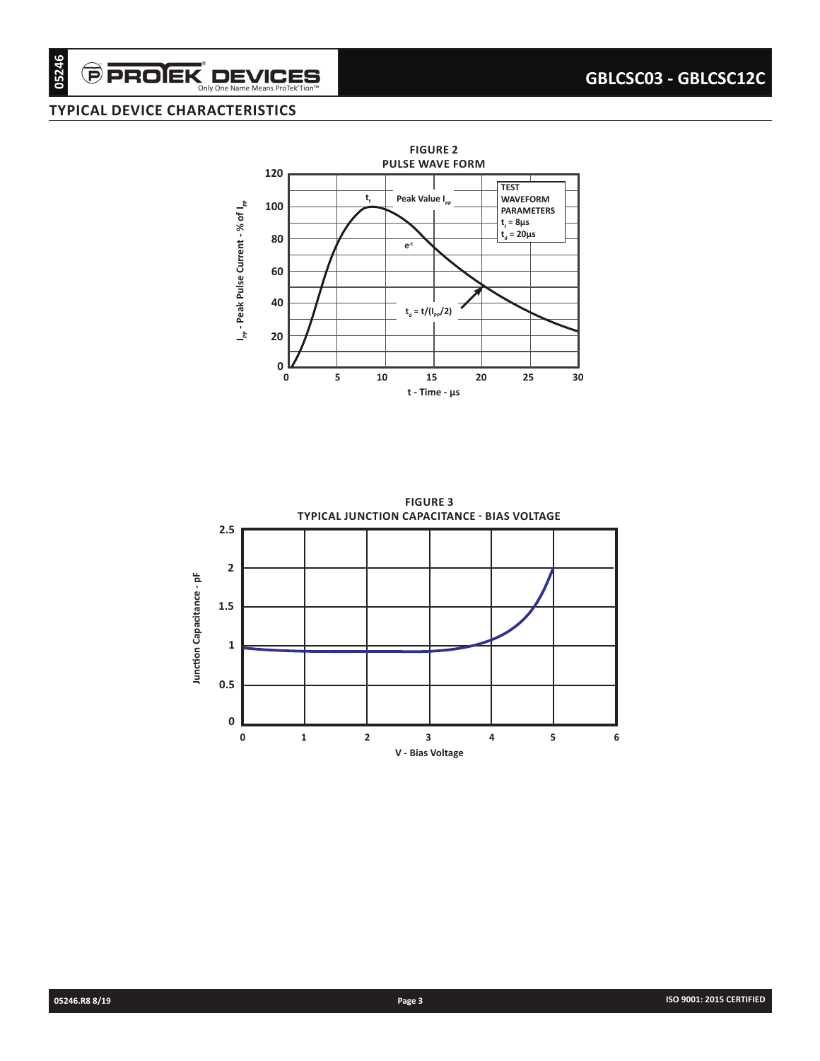## **TYPICAL DEVICE CHARACTERISTICS**

 $\widehat{\boldsymbol{\Theta}}$  PROIEK $\displaystyle\nonumber \operatorname*{D}\text{EVICES}_{\text{Only One Name Mean B Product}}$ 



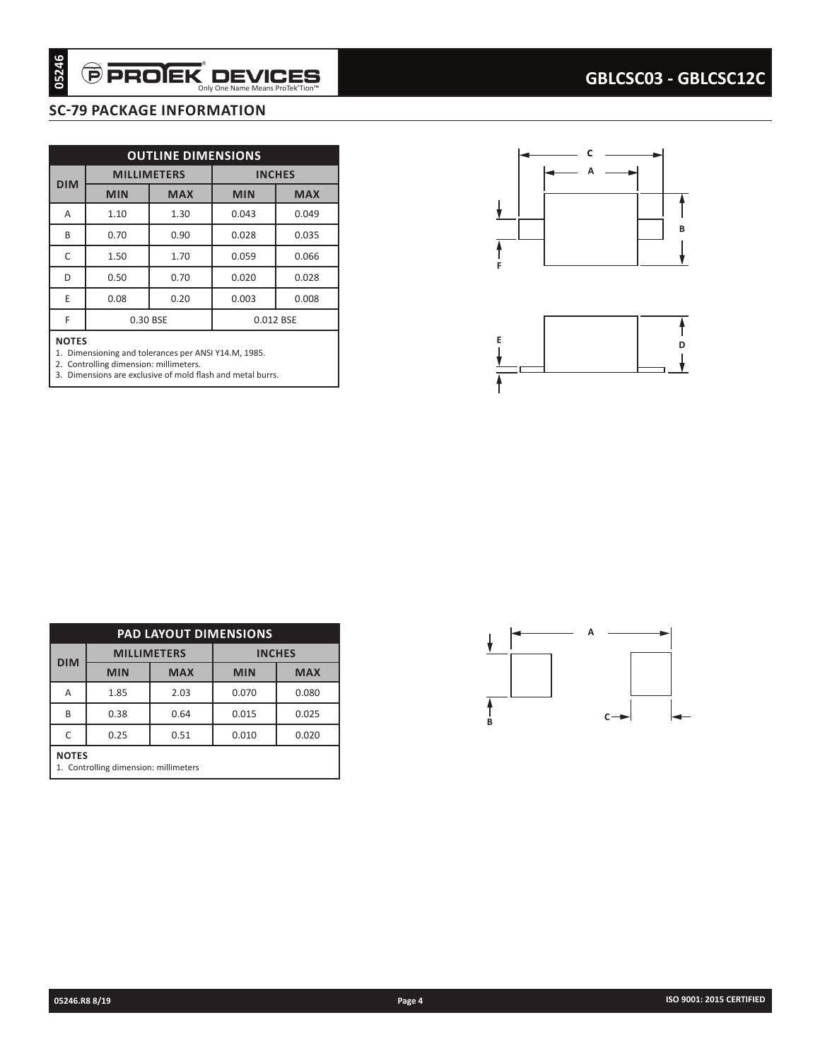# **SC-79 PACKAGE INFORMATION**

|            |              | <b>OUTLINE DIMENSIONS</b>    |                |                    |
|------------|--------------|------------------------------|----------------|--------------------|
| <b>DIM</b> |              | <b>MILLIMETERS</b>           |                | <b>INCHES</b>      |
|            | <b>MIN</b>   | <b>MAX</b>                   | <b>MIN</b>     | <b>MAX</b>         |
| A          | 1.10         | 1.30                         | 0.043          | 0.049              |
| B          | 0.70         | 0.90                         | 0.028          | 0.035              |
| C<br>D     | 1.50         | 1.70                         | 0.059          | 0.066              |
| E          | 0.50         | 0.70                         | 0.020          | 0.028              |
|            | 0.08         | 0.20<br>0.30 BSE             | 0.003          | 0.008<br>0.012 BSE |
|            |              |                              |                |                    |
|            |              |                              |                |                    |
|            |              | <b>PAD LAYOUT DIMENSIONS</b> |                |                    |
| <b>DIM</b> |              | <b>MILLIMETERS</b>           |                | <b>INCHES</b>      |
|            | <b>MIN</b>   | <b>MAX</b>                   | MIN            | <b>MAX</b>         |
|            | 1.85         | 2.03                         | 0.070          | 0.080              |
|            | 0.38<br>0.25 | 0.64<br>0.51                 | 0.015<br>0.010 | 0.025<br>0.020     |





| <b>PAD LAYOUT DIMENSIONS</b>                          |            |                    |                          |       |  |  |  |  |
|-------------------------------------------------------|------------|--------------------|--------------------------|-------|--|--|--|--|
|                                                       |            | <b>MILLIMETERS</b> | <b>INCHES</b>            |       |  |  |  |  |
| <b>DIM</b>                                            | <b>MIN</b> | <b>MAX</b>         | <b>MIN</b><br><b>MAX</b> |       |  |  |  |  |
| A                                                     | 1.85       | 2.03               | 0.070                    | 0.080 |  |  |  |  |
| B                                                     | 0.38       | 0.64               | 0.015                    | 0.025 |  |  |  |  |
| 0.020<br>0.25<br>0.010<br>0.51                        |            |                    |                          |       |  |  |  |  |
| <b>NOTES</b><br>1. Controlling dimension: millimeters |            |                    |                          |       |  |  |  |  |

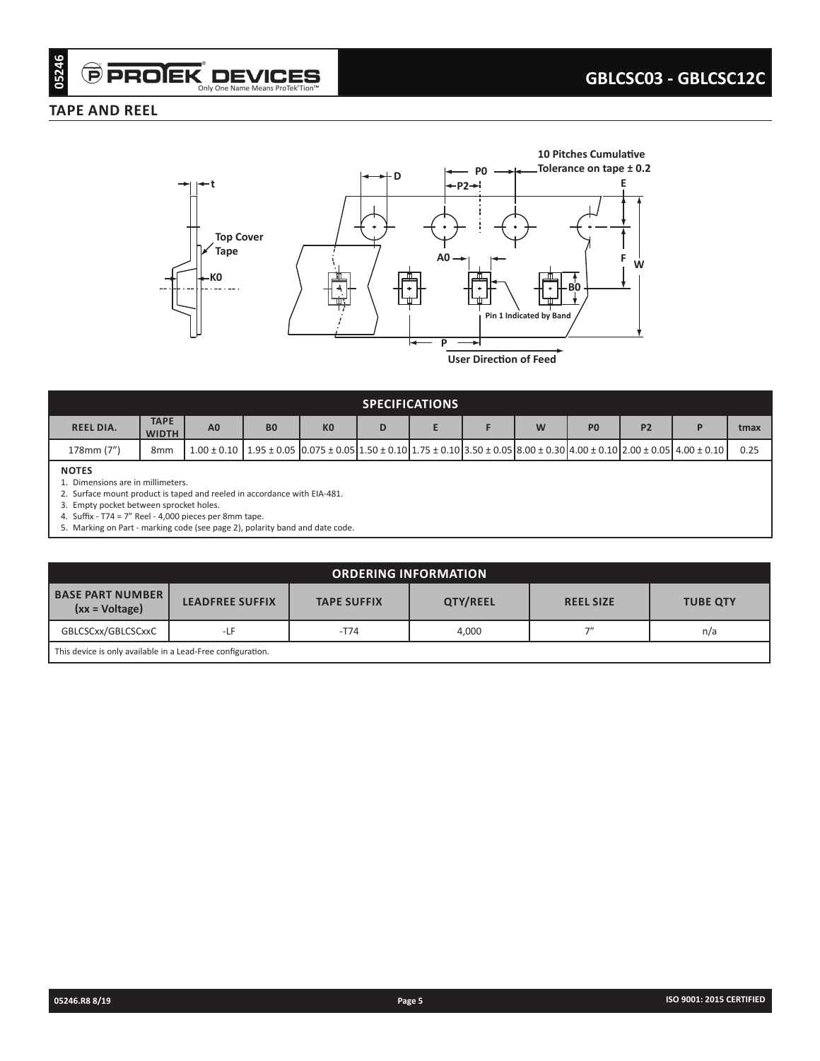### **TAPE AND REEL**



| <b>SPECIFICATIONS</b> |                                |                |                |                                                                                                                                                                                    |   |  |  |   |                |                |  |      |
|-----------------------|--------------------------------|----------------|----------------|------------------------------------------------------------------------------------------------------------------------------------------------------------------------------------|---|--|--|---|----------------|----------------|--|------|
| <b>REEL DIA.</b>      | <b>TAPE</b><br><b>WIDTH</b>    | A <sub>0</sub> | B <sub>0</sub> | K <sub>0</sub>                                                                                                                                                                     | D |  |  | W | P <sub>0</sub> | P <sub>2</sub> |  | tmax |
| 178mm (7")            | 8 <sub>mm</sub>                |                |                | $1.00 \pm 0.10$   $1.95 \pm 0.05$   $0.075 \pm 0.05$   $1.50 \pm 0.10$   $1.75 \pm 0.10$   $3.50 \pm 0.05$   $8.00 \pm 0.30$   $4.00 \pm 0.10$   $2.00 \pm 0.05$   $4.00 \pm 0.10$ |   |  |  |   |                |                |  | 0.25 |
| <b>NOTES</b>          | Dimensions are in millimeters. |                |                |                                                                                                                                                                                    |   |  |  |   |                |                |  |      |

2. Surface mount product is taped and reeled in accordance with EIA-481.

3. Empty pocket between sprocket holes. 4. Suffix - T74 = 7" Reel - 4,000 pieces per 8mm tape.

5. Marking on Part - marking code (see page 2), polarity band and date code.

| <b>ORDERING INFORMATION</b>                                                                                                                             |  |  |  |  |  |  |  |
|---------------------------------------------------------------------------------------------------------------------------------------------------------|--|--|--|--|--|--|--|
| <b>BASE PART NUMBER I</b><br><b>QTY/REEL</b><br><b>LEADFREE SUFFIX</b><br><b>TAPE SUFFIX</b><br><b>REEL SIZE</b><br><b>TUBE QTY</b><br>$(xx = Voltage)$ |  |  |  |  |  |  |  |
| GBLCSCxx/GBLCSCxxC<br>フ〃<br>$-T74$<br>4,000<br>-LF<br>n/a                                                                                               |  |  |  |  |  |  |  |
| This device is only available in a Lead-Free configuration.                                                                                             |  |  |  |  |  |  |  |